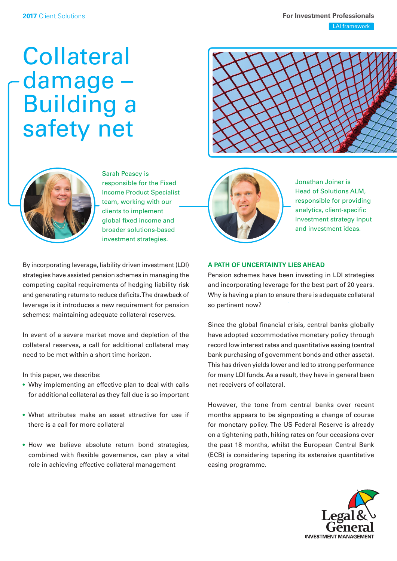# **Collateral** damage – Building a safety net





Sarah Peasey is responsible for the Fixed Income Product Specialist team, working with our clients to implement global fixed income and broader solutions-based investment strategies.

By incorporating leverage, liability driven investment (LDI) strategies have assisted pension schemes in managing the competing capital requirements of hedging liability risk and generating returns to reduce deficits. The drawback of leverage is it introduces a new requirement for pension schemes: maintaining adequate collateral reserves.

In event of a severe market move and depletion of the collateral reserves, a call for additional collateral may need to be met within a short time horizon.

In this paper, we describe:

- Why implementing an effective plan to deal with calls for additional collateral as they fall due is so important
- What attributes make an asset attractive for use if there is a call for more collateral
- How we believe absolute return bond strategies, combined with flexible governance, can play a vital role in achieving effective collateral management



Jonathan Joiner is Head of Solutions ALM, responsible for providing analytics, client-specific investment strategy input and investment ideas.

## **A PATH OF UNCERTAINTY LIES AHEAD**

Pension schemes have been investing in LDI strategies and incorporating leverage for the best part of 20 years. Why is having a plan to ensure there is adequate collateral so pertinent now?

Since the global financial crisis, central banks globally have adopted accommodative monetary policy through record low interest rates and quantitative easing (central bank purchasing of government bonds and other assets). This has driven yields lower and led to strong performance for many LDI funds. As a result, they have in general been net receivers of collateral.

However, the tone from central banks over recent months appears to be signposting a change of course for monetary policy. The US Federal Reserve is already on a tightening path, hiking rates on four occasions over the past 18 months, whilst the European Central Bank (ECB) is considering tapering its extensive quantitative easing programme.

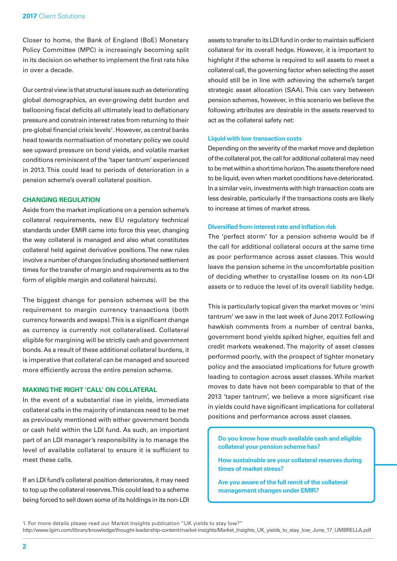Closer to home, the Bank of England (BoE) Monetary Policy Committee (MPC) is increasingly becoming split in its decision on whether to implement the first rate hike in over a decade.

Our central view is that structural issues such as deteriorating global demographics, an ever-growing debt burden and ballooning fiscal deficits all ultimately lead to deflationary pressure and constrain interest rates from returning to their pre-global financial crisis levels<sup>1</sup>. However, as central banks head towards normalisation of monetary policy we could see upward pressure on bond yields, and volatile market conditions reminiscent of the 'taper tantrum' experienced in 2013. This could lead to periods of deterioration in a pension scheme's overall collateral position.

## **CHANGING REGULATION**

Aside from the market implications on a pension scheme's collateral requirements, new EU regulatory technical standards under EMIR came into force this year, changing the way collateral is managed and also what constitutes collateral held against derivative positions. The new rules involve a number of changes (including shortened settlement times for the transfer of margin and requirements as to the form of eligible margin and collateral haircuts).

The biggest change for pension schemes will be the requirement to margin currency transactions (both currency forwards and swaps). This is a significant change as currency is currently not collateralised. Collateral eligible for margining will be strictly cash and government bonds. As a result of these additional collateral burdens, it is imperative that collateral can be managed and sourced more efficiently across the entire pension scheme.

## **MAKING THE RIGHT 'CALL' ON COLLATERAL**

In the event of a substantial rise in yields, immediate collateral calls in the majority of instances need to be met as previously mentioned with either government bonds or cash held within the LDI fund. As such, an important part of an LDI manager's responsibility is to manage the level of available collateral to ensure it is sufficient to meet these calls.

If an LDI fund's collateral position deteriorates, it may need to top up the collateral reserves. This could lead to a scheme being forced to sell down some of its holdings in its non-LDI assets to transfer to its LDI fund in order to maintain sufficient collateral for its overall hedge. However, it is important to highlight if the scheme is required to sell assets to meet a collateral call, the governing factor when selecting the asset should still be in line with achieving the scheme's target strategic asset allocation (SAA). This can vary between pension schemes, however, in this scenario we believe the following attributes are desirable in the assets reserved to act as the collateral safety net:

#### **Liquid with low transaction costs**

Depending on the severity of the market move and depletion of the collateral pot, the call for additional collateral may need to be met within a short time horizon. The assets therefore need to be liquid, even when market conditions have deteriorated. In a similar vein, investments with high transaction costs are less desirable, particularly if the transactions costs are likely to increase at times of market stress.

#### **Diversified from interest rate and inflation risk**

The 'perfect storm' for a pension scheme would be if the call for additional collateral occurs at the same time as poor performance across asset classes. This would leave the pension scheme in the uncomfortable position of deciding whether to crystallise losses on its non-LDI assets or to reduce the level of its overall liability hedge.

This is particularly topical given the market moves or 'mini tantrum' we saw in the last week of June 2017. Following hawkish comments from a number of central banks, government bond yields spiked higher, equities fell and credit markets weakened. The majority of asset classes performed poorly, with the prospect of tighter monetary policy and the associated implications for future growth leading to contagion across asset classes. While market moves to date have not been comparable to that of the 2013 'taper tantrum', we believe a more significant rise in yields could have significant implications for collateral positions and performance across asset classes.

**Do you know how much available cash and eligible collateral your pension scheme has?**

**How sustainable are your collateral reserves during times of market stress?**

**Are you aware of the full remit of the collateral management changes under EMIR?** 

<sup>1.</sup> For more details please read our Market Insights publication "UK yields to stay low?"

http://www.lgim.com/library/knowledge/thought-leadership-content/market-insights/Market\_Insights\_UK\_yields\_to\_stay\_low\_June\_17\_UMBRELLA.pdf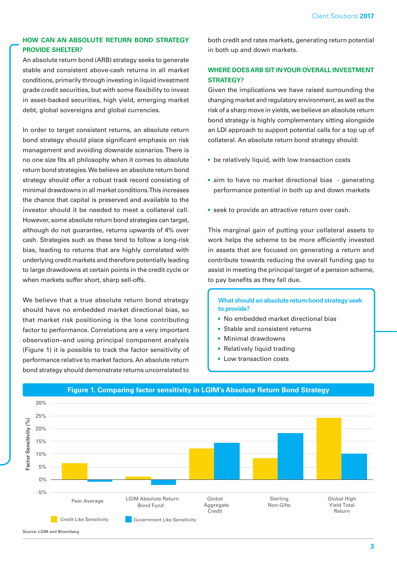# **HOW CAN AN ABSOLUTE RETURN BOND STRATEGY PROVIDE SHELTER?**

An absolute return bond (ARB) strategy seeks to generate stable and consistent above-cash returns in all market conditions, primarily through investing in liquid investment grade credit securities, but with some flexibility to invest in asset-backed securities, high yield, emerging market debt, global sovereigns and global currencies.

In order to target consistent returns, an absolute return bond strategy should place significant emphasis on risk management and avoiding downside scenarios. There is no one size fits all philosophy when it comes to absolute return bond strategies. We believe an absolute return bond strategy should offer a robust track record consisting of minimal drawdowns in all market conditions. This increases the chance that capital is preserved and available to the investor should it be needed to meet a collateral call. However, some absolute return bond strategies can target, although do not guarantee, returns upwards of 4% over cash. Strategies such as these tend to follow a long-risk bias, leading to returns that are highly correlated with underlying credit markets and therefore potentially leading to large drawdowns at certain points in the credit cycle or when markets suffer short, sharp sell-offs.

We believe that a true absolute return bond strategy should have no embedded market directional bias, so that market risk positioning is the lone contributing factor to performance. Correlations are a very important observation–and using principal component analysis (Figure 1) it is possible to track the factor sensitivity of performance relative to market factors. An absolute return bond strategy should demonstrate returns uncorrelated to

both credit and rates markets, generating return potential in both up and down markets.

# **WHERE DOES ARB SIT IN YOUR OVERALL INVESTMENT STRATEGY?**

Given the implications we have raised surrounding the changing market and regulatory environment, as well as the risk of a sharp move in yields, we believe an absolute return bond strategy is highly complementary sitting alongside an LDI approach to support potential calls for a top up of collateral. An absolute return bond strategy should:

- be relatively liquid, with low transaction costs
- aim to have no market directional bias generating performance potential in both up and down markets
- seek to provide an attractive return over cash.

This marginal gain of putting your collateral assets to work helps the scheme to be more efficiently invested in assets that are focused on generating a return and contribute towards reducing the overall funding gap to assist in meeting the principal target of a pension scheme, to pay benefits as they fall due.

**What should an absolute return bond strategy seek to provide?**

- No embedded market directional bias
- Stable and consistent returns
- Minimal drawdowns
- Relatively liquid trading
- Low transaction costs



## **Figure 1. Comparing factor sensitivity in LGIM's Absolute Return Bond Strategy**

Source: LGIM and Bloomberg